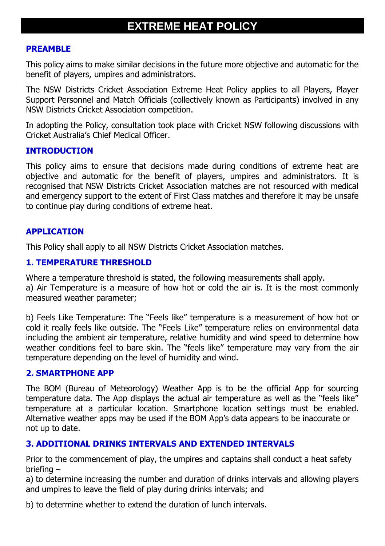# **EXTREME HEAT POLICY**

#### **PREAMBLE**

This policy aims to make similar decisions in the future more objective and automatic for the benefit of players, umpires and administrators.

The NSW Districts Cricket Association Extreme Heat Policy applies to all Players, Player Support Personnel and Match Officials (collectively known as Participants) involved in any NSW Districts Cricket Association competition.

In adopting the Policy, consultation took place with Cricket NSW following discussions with Cricket Australia's Chief Medical Officer.

#### **INTRODUCTION**

This policy aims to ensure that decisions made during conditions of extreme heat are objective and automatic for the benefit of players, umpires and administrators. It is recognised that NSW Districts Cricket Association matches are not resourced with medical and emergency support to the extent of First Class matches and therefore it may be unsafe to continue play during conditions of extreme heat.

# **APPLICATION**

This Policy shall apply to all NSW Districts Cricket Association matches.

# **1. TEMPERATURE THRESHOLD**

Where a temperature threshold is stated, the following measurements shall apply.

a) Air Temperature is a measure of how hot or cold the air is. It is the most commonly measured weather parameter;

b) Feels Like Temperature: The "Feels like" temperature is a measurement of how hot or cold it really feels like outside. The "Feels Like" temperature relies on environmental data including the ambient air temperature, relative humidity and wind speed to determine how weather conditions feel to bare skin. The "feels like" temperature may vary from the air temperature depending on the level of humidity and wind.

## **2. SMARTPHONE APP**

The BOM (Bureau of Meteorology) Weather App is to be the official App for sourcing temperature data. The App displays the actual air temperature as well as the "feels like" temperature at a particular location. Smartphone location settings must be enabled. Alternative weather apps may be used if the BOM App's data appears to be inaccurate or not up to date.

## **3. ADDITIONAL DRINKS INTERVALS AND EXTENDED INTERVALS**

Prior to the commencement of play, the umpires and captains shall conduct a heat safety briefing –

a) to determine increasing the number and duration of drinks intervals and allowing players and umpires to leave the field of play during drinks intervals; and

b) to determine whether to extend the duration of lunch intervals.